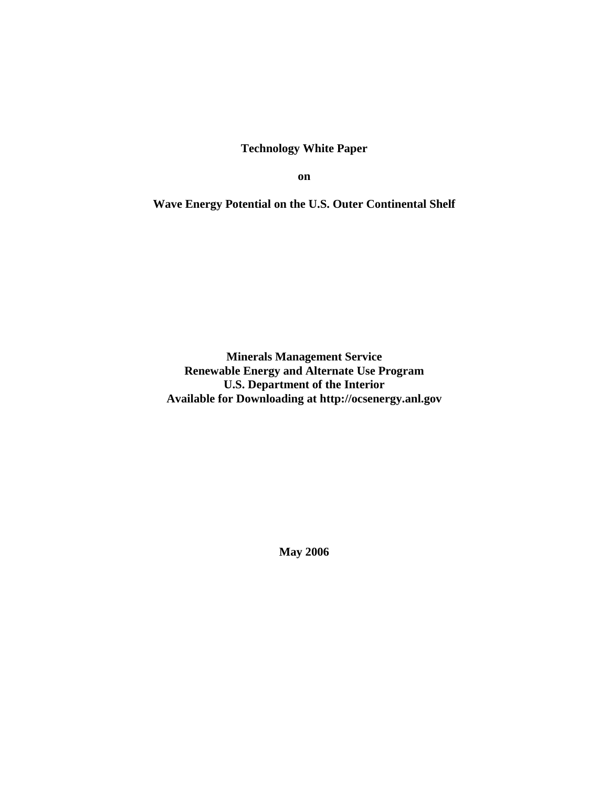**Technology White Paper** 

**on** 

**Wave Energy Potential on the U.S. Outer Continental Shelf** 

**Minerals Management Service Renewable Energy and Alternate Use Program U.S. Department of the Interior Available for Downloading at http://ocsenergy.anl.gov** 

**May 2006**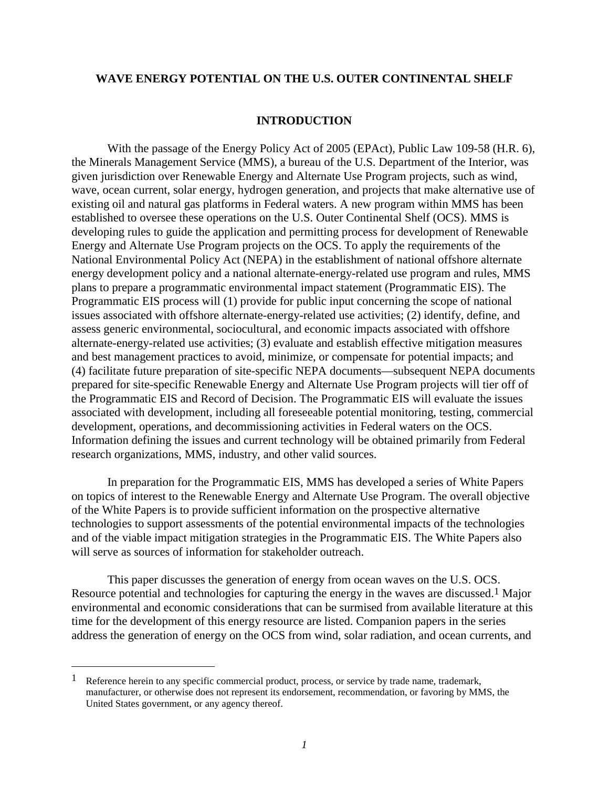## **WAVE ENERGY POTENTIAL ON THE U.S. OUTER CONTINENTAL SHELF**

## **INTRODUCTION**

With the passage of the Energy Policy Act of 2005 (EPAct), Public Law 109-58 (H.R. 6), the Minerals Management Service (MMS), a bureau of the U.S. Department of the Interior, was given jurisdiction over Renewable Energy and Alternate Use Program projects, such as wind, wave, ocean current, solar energy, hydrogen generation, and projects that make alternative use of existing oil and natural gas platforms in Federal waters. A new program within MMS has been established to oversee these operations on the U.S. Outer Continental Shelf (OCS). MMS is developing rules to guide the application and permitting process for development of Renewable Energy and Alternate Use Program projects on the OCS. To apply the requirements of the National Environmental Policy Act (NEPA) in the establishment of national offshore alternate energy development policy and a national alternate-energy-related use program and rules, MMS plans to prepare a programmatic environmental impact statement (Programmatic EIS). The Programmatic EIS process will (1) provide for public input concerning the scope of national issues associated with offshore alternate-energy-related use activities; (2) identify, define, and assess generic environmental, sociocultural, and economic impacts associated with offshore alternate-energy-related use activities; (3) evaluate and establish effective mitigation measures and best management practices to avoid, minimize, or compensate for potential impacts; and (4) facilitate future preparation of site-specific NEPA documents—subsequent NEPA documents prepared for site-specific Renewable Energy and Alternate Use Program projects will tier off of the Programmatic EIS and Record of Decision. The Programmatic EIS will evaluate the issues associated with development, including all foreseeable potential monitoring, testing, commercial development, operations, and decommissioning activities in Federal waters on the OCS. Information defining the issues and current technology will be obtained primarily from Federal research organizations, MMS, industry, and other valid sources.

In preparation for the Programmatic EIS, MMS has developed a series of White Papers on topics of interest to the Renewable Energy and Alternate Use Program. The overall objective of the White Papers is to provide sufficient information on the prospective alternative technologies to support assessments of the potential environmental impacts of the technologies and of the viable impact mitigation strategies in the Programmatic EIS. The White Papers also will serve as sources of information for stakeholder outreach.

This paper discusses the generation of energy from ocean waves on the U.S. OCS. Resource potential and technologies for capturing the energy in the waves are discussed.<sup>1</sup> Major environmental and economic considerations that can be surmised from available literature at this time for the development of this energy resource are listed. Companion papers in the series address the generation of energy on the OCS from wind, solar radiation, and ocean currents, and

-

<sup>&</sup>lt;sup>1</sup> Reference herein to any specific commercial product, process, or service by trade name, trademark, manufacturer, or otherwise does not represent its endorsement, recommendation, or favoring by MMS, the United States government, or any agency thereof.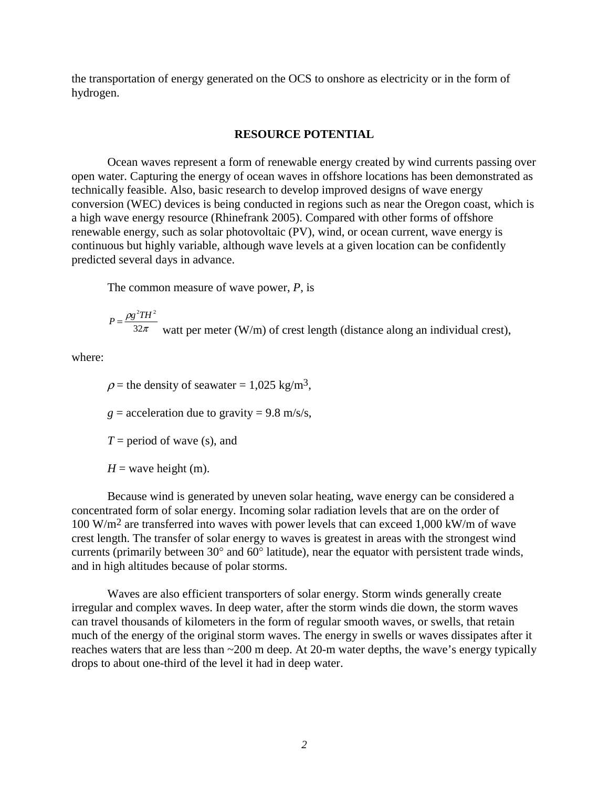the transportation of energy generated on the OCS to onshore as electricity or in the form of hydrogen.

## **RESOURCE POTENTIAL**

Ocean waves represent a form of renewable energy created by wind currents passing over open water. Capturing the energy of ocean waves in offshore locations has been demonstrated as technically feasible. Also, basic research to develop improved designs of wave energy conversion (WEC) devices is being conducted in regions such as near the Oregon coast, which is a high wave energy resource (Rhinefrank 2005). Compared with other forms of offshore renewable energy, such as solar photovoltaic (PV), wind, or ocean current, wave energy is continuous but highly variable, although wave levels at a given location can be confidently predicted several days in advance.

The common measure of wave power, *P*, is

$$
P = \frac{\rho g^2 T H^2}{32\pi}
$$
watt per meter (W/m) of crest length (distance along an individual crest),

where:

 $\rho$  = the density of seawater = 1,025 kg/m<sup>3</sup>,

 $g =$  acceleration due to gravity = 9.8 m/s/s,

*T* = period of wave (s), and

 $H =$  wave height (m).

Because wind is generated by uneven solar heating, wave energy can be considered a concentrated form of solar energy. Incoming solar radiation levels that are on the order of 100 W/m2 are transferred into waves with power levels that can exceed 1,000 kW/m of wave crest length. The transfer of solar energy to waves is greatest in areas with the strongest wind currents (primarily between 30° and 60° latitude), near the equator with persistent trade winds, and in high altitudes because of polar storms.

Waves are also efficient transporters of solar energy. Storm winds generally create irregular and complex waves. In deep water, after the storm winds die down, the storm waves can travel thousands of kilometers in the form of regular smooth waves, or swells, that retain much of the energy of the original storm waves. The energy in swells or waves dissipates after it reaches waters that are less than ~200 m deep. At 20-m water depths, the wave's energy typically drops to about one-third of the level it had in deep water.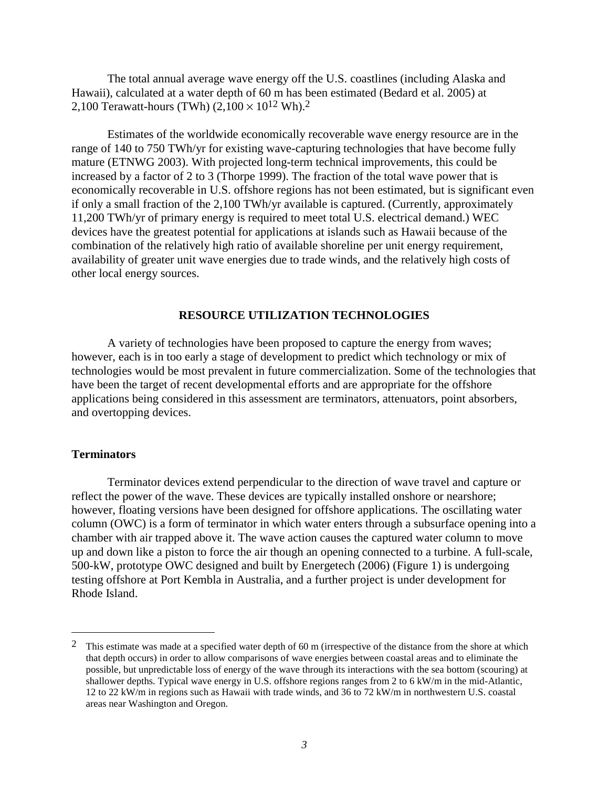The total annual average wave energy off the U.S. coastlines (including Alaska and Hawaii), calculated at a water depth of 60 m has been estimated (Bedard et al. 2005) at 2,100 Terawatt-hours (TWh)  $(2,100 \times 10^{12} \text{ Wh})$ .<sup>2</sup>

Estimates of the worldwide economically recoverable wave energy resource are in the range of 140 to 750 TWh/yr for existing wave-capturing technologies that have become fully mature (ETNWG 2003). With projected long-term technical improvements, this could be increased by a factor of 2 to 3 (Thorpe 1999). The fraction of the total wave power that is economically recoverable in U.S. offshore regions has not been estimated, but is significant even if only a small fraction of the 2,100 TWh/yr available is captured. (Currently, approximately 11,200 TWh/yr of primary energy is required to meet total U.S. electrical demand.) WEC devices have the greatest potential for applications at islands such as Hawaii because of the combination of the relatively high ratio of available shoreline per unit energy requirement, availability of greater unit wave energies due to trade winds, and the relatively high costs of other local energy sources.

## **RESOURCE UTILIZATION TECHNOLOGIES**

A variety of technologies have been proposed to capture the energy from waves; however, each is in too early a stage of development to predict which technology or mix of technologies would be most prevalent in future commercialization. Some of the technologies that have been the target of recent developmental efforts and are appropriate for the offshore applications being considered in this assessment are terminators, attenuators, point absorbers, and overtopping devices.

## **Terminators**

-

Terminator devices extend perpendicular to the direction of wave travel and capture or reflect the power of the wave. These devices are typically installed onshore or nearshore; however, floating versions have been designed for offshore applications. The oscillating water column (OWC) is a form of terminator in which water enters through a subsurface opening into a chamber with air trapped above it. The wave action causes the captured water column to move up and down like a piston to force the air though an opening connected to a turbine. A full-scale, 500-kW, prototype OWC designed and built by Energetech (2006) (Figure 1) is undergoing testing offshore at Port Kembla in Australia, and a further project is under development for Rhode Island.

<sup>&</sup>lt;sup>2</sup> This estimate was made at a specified water depth of 60 m (irrespective of the distance from the shore at which that depth occurs) in order to allow comparisons of wave energies between coastal areas and to eliminate the possible, but unpredictable loss of energy of the wave through its interactions with the sea bottom (scouring) at shallower depths. Typical wave energy in U.S. offshore regions ranges from 2 to 6 kW/m in the mid-Atlantic, 12 to 22 kW/m in regions such as Hawaii with trade winds, and 36 to 72 kW/m in northwestern U.S. coastal areas near Washington and Oregon.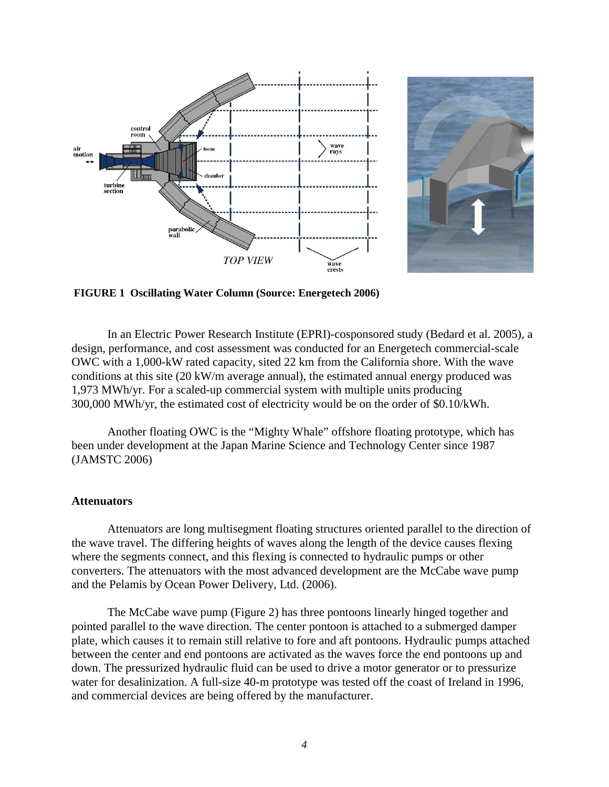



**FIGURE 1 Oscillating Water Column (Source: Energetech 2006)** 

In an Electric Power Research Institute (EPRI)-cosponsored study (Bedard et al. 2005), a design, performance, and cost assessment was conducted for an Energetech commercial-scale OWC with a 1,000-kW rated capacity, sited 22 km from the California shore. With the wave conditions at this site (20 kW/m average annual), the estimated annual energy produced was 1,973 MWh/yr. For a scaled-up commercial system with multiple units producing 300,000 MWh/yr, the estimated cost of electricity would be on the order of \$0.10/kWh.

Another floating OWC is the "Mighty Whale" offshore floating prototype, which has been under development at the Japan Marine Science and Technology Center since 1987 (JAMSTC 2006)

#### **Attenuators**

Attenuators are long multisegment floating structures oriented parallel to the direction of the wave travel. The differing heights of waves along the length of the device causes flexing where the segments connect, and this flexing is connected to hydraulic pumps or other converters. The attenuators with the most advanced development are the McCabe wave pump and the Pelamis by Ocean Power Delivery, Ltd. (2006).

The McCabe wave pump (Figure 2) has three pontoons linearly hinged together and pointed parallel to the wave direction. The center pontoon is attached to a submerged damper plate, which causes it to remain still relative to fore and aft pontoons. Hydraulic pumps attached between the center and end pontoons are activated as the waves force the end pontoons up and down. The pressurized hydraulic fluid can be used to drive a motor generator or to pressurize water for desalinization. A full-size 40-m prototype was tested off the coast of Ireland in 1996, and commercial devices are being offered by the manufacturer.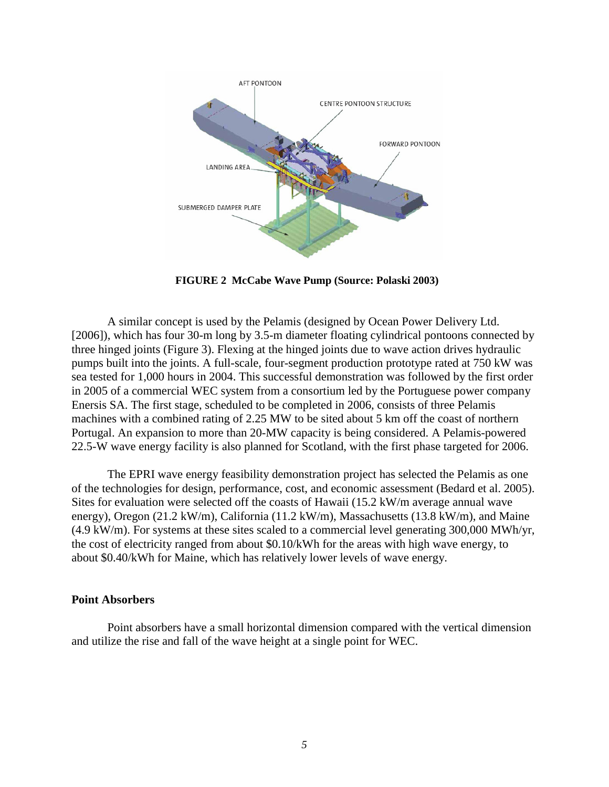

**FIGURE 2 McCabe Wave Pump (Source: Polaski 2003)** 

A similar concept is used by the Pelamis (designed by Ocean Power Delivery Ltd. [2006]), which has four 30-m long by 3.5-m diameter floating cylindrical pontoons connected by three hinged joints (Figure 3). Flexing at the hinged joints due to wave action drives hydraulic pumps built into the joints. A full-scale, four-segment production prototype rated at 750 kW was sea tested for 1,000 hours in 2004. This successful demonstration was followed by the first order in 2005 of a commercial WEC system from a consortium led by the Portuguese power company Enersis SA. The first stage, scheduled to be completed in 2006, consists of three Pelamis machines with a combined rating of 2.25 MW to be sited about 5 km off the coast of northern Portugal. An expansion to more than 20-MW capacity is being considered. A Pelamis-powered 22.5-W wave energy facility is also planned for Scotland, with the first phase targeted for 2006.

The EPRI wave energy feasibility demonstration project has selected the Pelamis as one of the technologies for design, performance, cost, and economic assessment (Bedard et al. 2005). Sites for evaluation were selected off the coasts of Hawaii (15.2 kW/m average annual wave energy), Oregon (21.2 kW/m), California (11.2 kW/m), Massachusetts (13.8 kW/m), and Maine  $(4.9 \text{ kW/m})$ . For systems at these sites scaled to a commercial level generating 300,000 MWh/yr, the cost of electricity ranged from about \$0.10/kWh for the areas with high wave energy, to about \$0.40/kWh for Maine, which has relatively lower levels of wave energy.

#### **Point Absorbers**

Point absorbers have a small horizontal dimension compared with the vertical dimension and utilize the rise and fall of the wave height at a single point for WEC.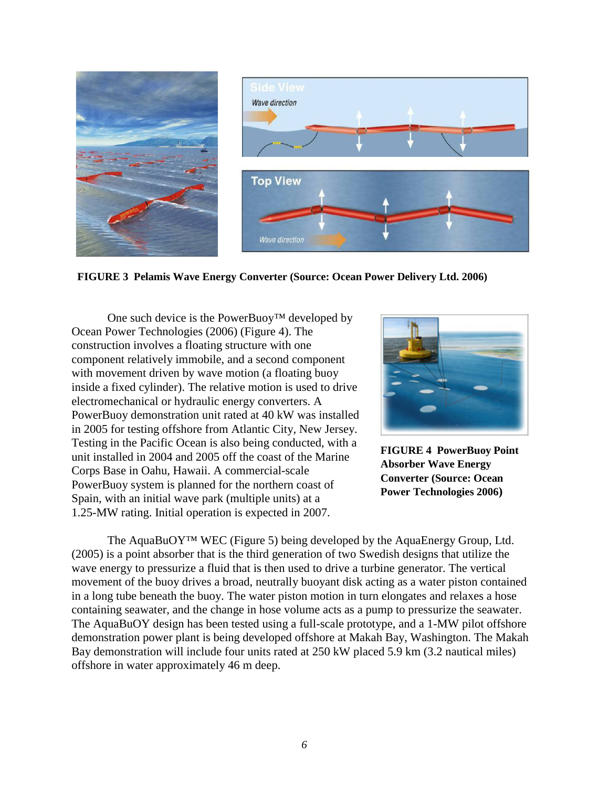

**FIGURE 3 Pelamis Wave Energy Converter (Source: Ocean Power Delivery Ltd. 2006)** 

One such device is the PowerBuoy<sup>TM</sup> developed by Ocean Power Technologies (2006) (Figure 4). The construction involves a floating structure with one component relatively immobile, and a second component with movement driven by wave motion (a floating buoy inside a fixed cylinder). The relative motion is used to drive electromechanical or hydraulic energy converters. A PowerBuoy demonstration unit rated at 40 kW was installed in 2005 for testing offshore from Atlantic City, New Jersey. Testing in the Pacific Ocean is also being conducted, with a unit installed in 2004 and 2005 off the coast of the Marine Corps Base in Oahu, Hawaii. A commercial-scale PowerBuoy system is planned for the northern coast of Spain, with an initial wave park (multiple units) at a 1.25-MW rating. Initial operation is expected in 2007.



**FIGURE 4 PowerBuoy Point Absorber Wave Energy Converter (Source: Ocean Power Technologies 2006)**

The AquaBuOY™ WEC (Figure 5) being developed by the AquaEnergy Group, Ltd. (2005) is a point absorber that is the third generation of two Swedish designs that utilize the wave energy to pressurize a fluid that is then used to drive a turbine generator. The vertical movement of the buoy drives a broad, neutrally buoyant disk acting as a water piston contained in a long tube beneath the buoy. The water piston motion in turn elongates and relaxes a hose containing seawater, and the change in hose volume acts as a pump to pressurize the seawater. The AquaBuOY design has been tested using a full-scale prototype, and a 1-MW pilot offshore demonstration power plant is being developed offshore at Makah Bay, Washington. The Makah Bay demonstration will include four units rated at 250 kW placed 5.9 km (3.2 nautical miles) offshore in water approximately 46 m deep.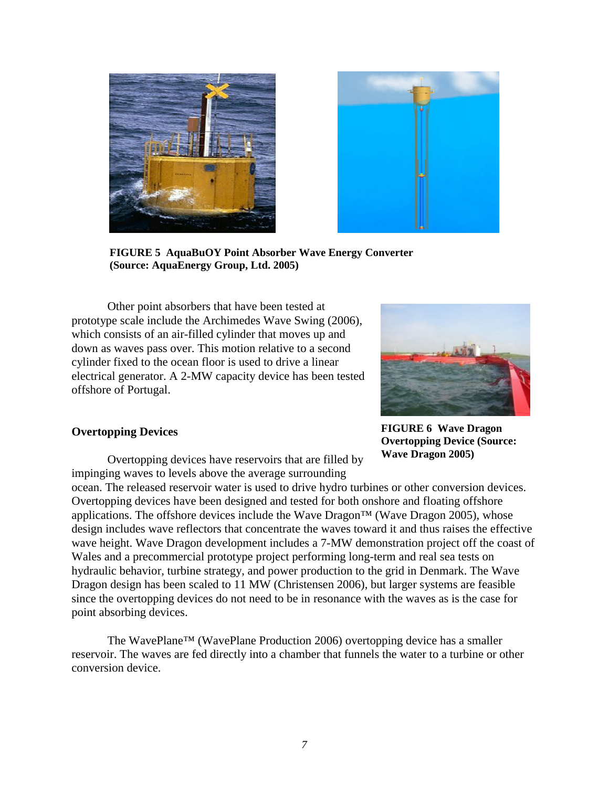



**FIGURE 5 AquaBuOY Point Absorber Wave Energy Converter (Source: AquaEnergy Group, Ltd. 2005)** 

Other point absorbers that have been tested at prototype scale include the Archimedes Wave Swing (2006), which consists of an air-filled cylinder that moves up and down as waves pass over. This motion relative to a second cylinder fixed to the ocean floor is used to drive a linear electrical generator. A 2-MW capacity device has been tested offshore of Portugal.



# **Overtopping Devices**

**FIGURE 6 Wave Dragon Overtopping Device (Source: Wave Dragon 2005)** 

Overtopping devices have reservoirs that are filled by impinging waves to levels above the average surrounding

ocean. The released reservoir water is used to drive hydro turbines or other conversion devices. Overtopping devices have been designed and tested for both onshore and floating offshore applications. The offshore devices include the Wave Dragon<sup>TM</sup> (Wave Dragon 2005), whose design includes wave reflectors that concentrate the waves toward it and thus raises the effective wave height. Wave Dragon development includes a 7-MW demonstration project off the coast of Wales and a precommercial prototype project performing long-term and real sea tests on hydraulic behavior, turbine strategy, and power production to the grid in Denmark. The Wave Dragon design has been scaled to 11 MW (Christensen 2006), but larger systems are feasible since the overtopping devices do not need to be in resonance with the waves as is the case for point absorbing devices.

The WavePlane™ (WavePlane Production 2006) overtopping device has a smaller reservoir. The waves are fed directly into a chamber that funnels the water to a turbine or other conversion device.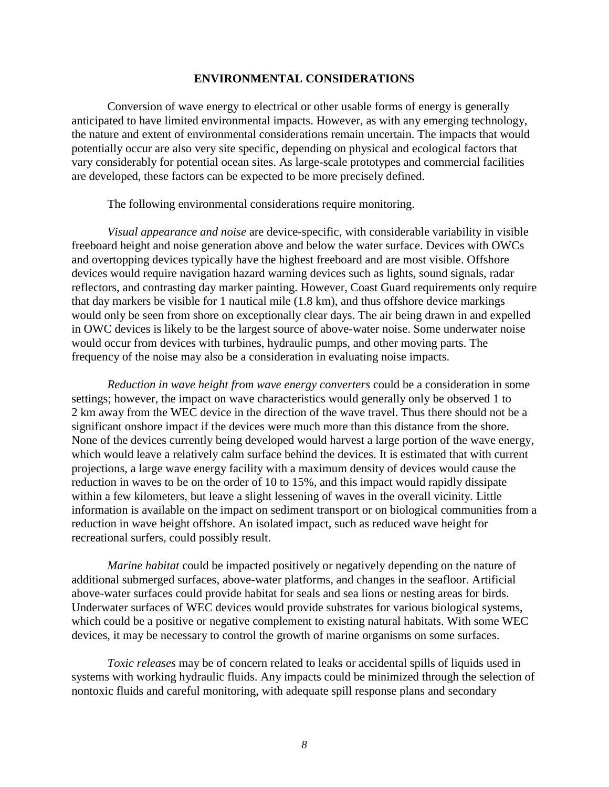## **ENVIRONMENTAL CONSIDERATIONS**

Conversion of wave energy to electrical or other usable forms of energy is generally anticipated to have limited environmental impacts. However, as with any emerging technology, the nature and extent of environmental considerations remain uncertain. The impacts that would potentially occur are also very site specific, depending on physical and ecological factors that vary considerably for potential ocean sites. As large-scale prototypes and commercial facilities are developed, these factors can be expected to be more precisely defined.

The following environmental considerations require monitoring.

*Visual appearance and noise* are device-specific, with considerable variability in visible freeboard height and noise generation above and below the water surface. Devices with OWCs and overtopping devices typically have the highest freeboard and are most visible. Offshore devices would require navigation hazard warning devices such as lights, sound signals, radar reflectors, and contrasting day marker painting. However, Coast Guard requirements only require that day markers be visible for 1 nautical mile (1.8 km), and thus offshore device markings would only be seen from shore on exceptionally clear days. The air being drawn in and expelled in OWC devices is likely to be the largest source of above-water noise. Some underwater noise would occur from devices with turbines, hydraulic pumps, and other moving parts. The frequency of the noise may also be a consideration in evaluating noise impacts.

*Reduction in wave height from wave energy converters* could be a consideration in some settings; however, the impact on wave characteristics would generally only be observed 1 to 2 km away from the WEC device in the direction of the wave travel. Thus there should not be a significant onshore impact if the devices were much more than this distance from the shore. None of the devices currently being developed would harvest a large portion of the wave energy, which would leave a relatively calm surface behind the devices. It is estimated that with current projections, a large wave energy facility with a maximum density of devices would cause the reduction in waves to be on the order of 10 to 15%, and this impact would rapidly dissipate within a few kilometers, but leave a slight lessening of waves in the overall vicinity. Little information is available on the impact on sediment transport or on biological communities from a reduction in wave height offshore. An isolated impact, such as reduced wave height for recreational surfers, could possibly result.

*Marine habitat* could be impacted positively or negatively depending on the nature of additional submerged surfaces, above-water platforms, and changes in the seafloor. Artificial above-water surfaces could provide habitat for seals and sea lions or nesting areas for birds. Underwater surfaces of WEC devices would provide substrates for various biological systems, which could be a positive or negative complement to existing natural habitats. With some WEC devices, it may be necessary to control the growth of marine organisms on some surfaces.

*Toxic releases* may be of concern related to leaks or accidental spills of liquids used in systems with working hydraulic fluids. Any impacts could be minimized through the selection of nontoxic fluids and careful monitoring, with adequate spill response plans and secondary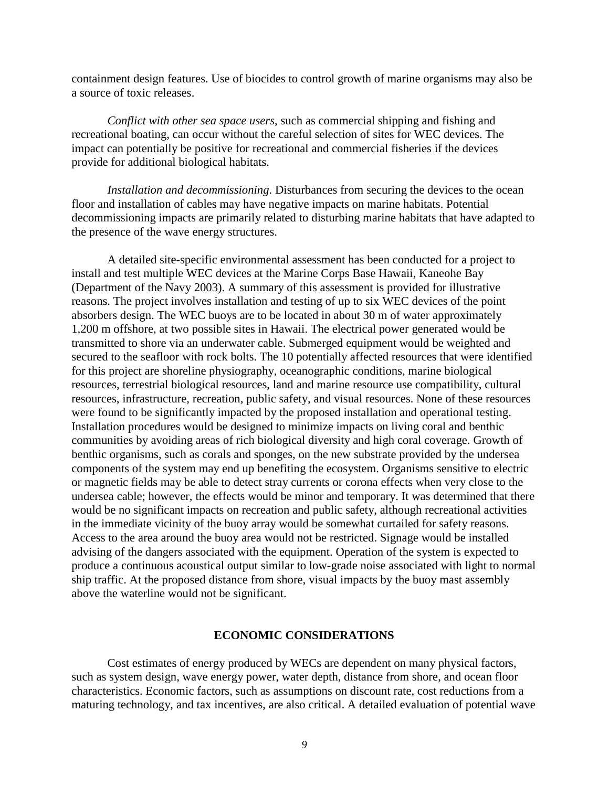containment design features. Use of biocides to control growth of marine organisms may also be a source of toxic releases.

*Conflict with other sea space users*, such as commercial shipping and fishing and recreational boating, can occur without the careful selection of sites for WEC devices. The impact can potentially be positive for recreational and commercial fisheries if the devices provide for additional biological habitats.

*Installation and decommissioning*. Disturbances from securing the devices to the ocean floor and installation of cables may have negative impacts on marine habitats. Potential decommissioning impacts are primarily related to disturbing marine habitats that have adapted to the presence of the wave energy structures.

A detailed site-specific environmental assessment has been conducted for a project to install and test multiple WEC devices at the Marine Corps Base Hawaii, Kaneohe Bay (Department of the Navy 2003). A summary of this assessment is provided for illustrative reasons. The project involves installation and testing of up to six WEC devices of the point absorbers design. The WEC buoys are to be located in about 30 m of water approximately 1,200 m offshore, at two possible sites in Hawaii. The electrical power generated would be transmitted to shore via an underwater cable. Submerged equipment would be weighted and secured to the seafloor with rock bolts. The 10 potentially affected resources that were identified for this project are shoreline physiography, oceanographic conditions, marine biological resources, terrestrial biological resources, land and marine resource use compatibility, cultural resources, infrastructure, recreation, public safety, and visual resources. None of these resources were found to be significantly impacted by the proposed installation and operational testing. Installation procedures would be designed to minimize impacts on living coral and benthic communities by avoiding areas of rich biological diversity and high coral coverage. Growth of benthic organisms, such as corals and sponges, on the new substrate provided by the undersea components of the system may end up benefiting the ecosystem. Organisms sensitive to electric or magnetic fields may be able to detect stray currents or corona effects when very close to the undersea cable; however, the effects would be minor and temporary. It was determined that there would be no significant impacts on recreation and public safety, although recreational activities in the immediate vicinity of the buoy array would be somewhat curtailed for safety reasons. Access to the area around the buoy area would not be restricted. Signage would be installed advising of the dangers associated with the equipment. Operation of the system is expected to produce a continuous acoustical output similar to low-grade noise associated with light to normal ship traffic. At the proposed distance from shore, visual impacts by the buoy mast assembly above the waterline would not be significant.

## **ECONOMIC CONSIDERATIONS**

Cost estimates of energy produced by WECs are dependent on many physical factors, such as system design, wave energy power, water depth, distance from shore, and ocean floor characteristics. Economic factors, such as assumptions on discount rate, cost reductions from a maturing technology, and tax incentives, are also critical. A detailed evaluation of potential wave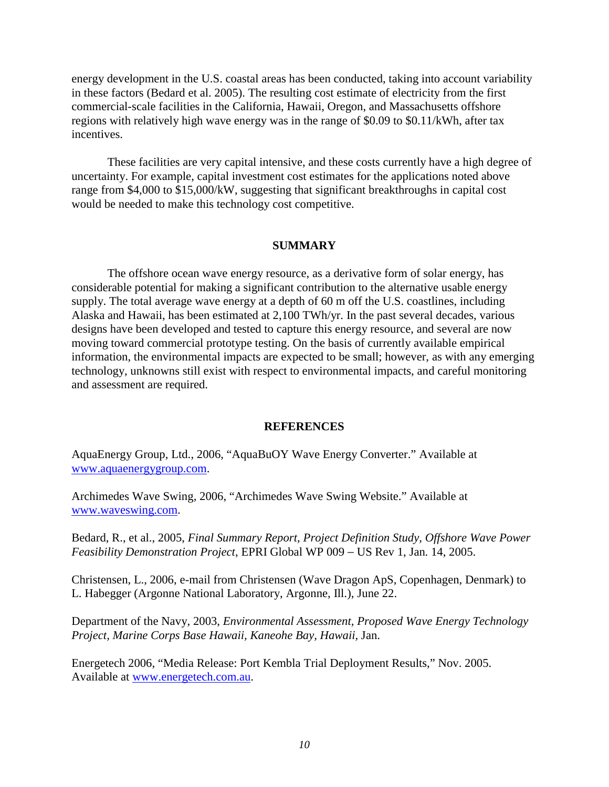energy development in the U.S. coastal areas has been conducted, taking into account variability in these factors (Bedard et al. 2005). The resulting cost estimate of electricity from the first commercial-scale facilities in the California, Hawaii, Oregon, and Massachusetts offshore regions with relatively high wave energy was in the range of \$0.09 to \$0.11/kWh, after tax incentives.

These facilities are very capital intensive, and these costs currently have a high degree of uncertainty. For example, capital investment cost estimates for the applications noted above range from \$4,000 to \$15,000/kW, suggesting that significant breakthroughs in capital cost would be needed to make this technology cost competitive.

# **SUMMARY**

The offshore ocean wave energy resource, as a derivative form of solar energy, has considerable potential for making a significant contribution to the alternative usable energy supply. The total average wave energy at a depth of 60 m off the U.S. coastlines, including Alaska and Hawaii, has been estimated at 2,100 TWh/yr. In the past several decades, various designs have been developed and tested to capture this energy resource, and several are now moving toward commercial prototype testing. On the basis of currently available empirical information, the environmental impacts are expected to be small; however, as with any emerging technology, unknowns still exist with respect to environmental impacts, and careful monitoring and assessment are required.

# **REFERENCES**

AquaEnergy Group, Ltd., 2006, "AquaBuOY Wave Energy Converter." Available at www.aquaenergygroup.com.

Archimedes Wave Swing, 2006, "Archimedes Wave Swing Website." Available at www.waveswing.com.

Bedard, R., et al., 2005, *Final Summary Report, Project Definition Study, Offshore Wave Power Feasibility Demonstration Project*, EPRI Global WP 009 − US Rev 1, Jan. 14, 2005.

Christensen, L., 2006, e-mail from Christensen (Wave Dragon ApS, Copenhagen, Denmark) to L. Habegger (Argonne National Laboratory, Argonne, Ill.), June 22.

Department of the Navy, 2003, *Environmental Assessment, Proposed Wave Energy Technology Project, Marine Corps Base Hawaii, Kaneohe Bay, Hawaii*, Jan.

Energetech 2006, "Media Release: Port Kembla Trial Deployment Results," Nov. 2005. Available at www.energetech.com.au.